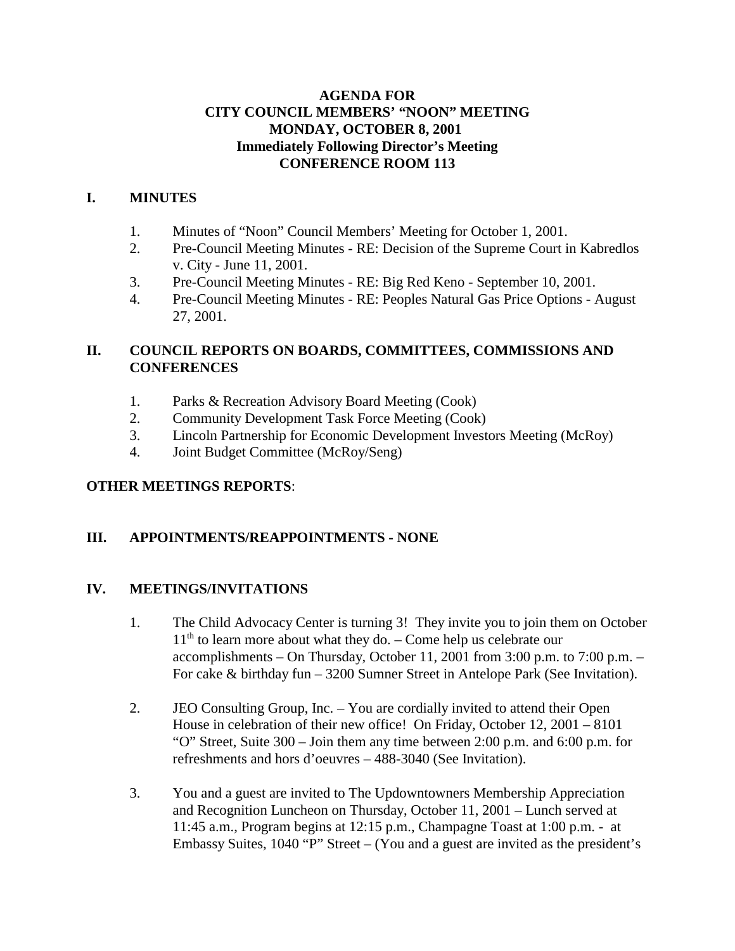#### **AGENDA FOR CITY COUNCIL MEMBERS' "NOON" MEETING MONDAY, OCTOBER 8, 2001 Immediately Following Director's Meeting CONFERENCE ROOM 113**

## **I. MINUTES**

- 1. Minutes of "Noon" Council Members' Meeting for October 1, 2001.
- 2. Pre-Council Meeting Minutes RE: Decision of the Supreme Court in Kabredlos v. City - June 11, 2001.
- 3. Pre-Council Meeting Minutes RE: Big Red Keno September 10, 2001.
- 4. Pre-Council Meeting Minutes RE: Peoples Natural Gas Price Options August 27, 2001.

## **II. COUNCIL REPORTS ON BOARDS, COMMITTEES, COMMISSIONS AND CONFERENCES**

- 1. Parks & Recreation Advisory Board Meeting (Cook)
- 2. Community Development Task Force Meeting (Cook)
- 3. Lincoln Partnership for Economic Development Investors Meeting (McRoy)
- 4. Joint Budget Committee (McRoy/Seng)

# **OTHER MEETINGS REPORTS**:

# **III. APPOINTMENTS/REAPPOINTMENTS - NONE**

#### **IV. MEETINGS/INVITATIONS**

- 1. The Child Advocacy Center is turning 3! They invite you to join them on October  $11<sup>th</sup>$  to learn more about what they do. – Come help us celebrate our accomplishments – On Thursday, October 11, 2001 from 3:00 p.m. to 7:00 p.m. – For cake & birthday fun – 3200 Sumner Street in Antelope Park (See Invitation).
- 2. JEO Consulting Group, Inc. You are cordially invited to attend their Open House in celebration of their new office! On Friday, October 12, 2001 – 8101 "O" Street, Suite 300 – Join them any time between 2:00 p.m. and 6:00 p.m. for refreshments and hors d'oeuvres – 488-3040 (See Invitation).
- 3. You and a guest are invited to The Updowntowners Membership Appreciation and Recognition Luncheon on Thursday, October 11, 2001 – Lunch served at 11:45 a.m., Program begins at 12:15 p.m., Champagne Toast at 1:00 p.m. - at Embassy Suites, 1040 "P" Street – (You and a guest are invited as the president's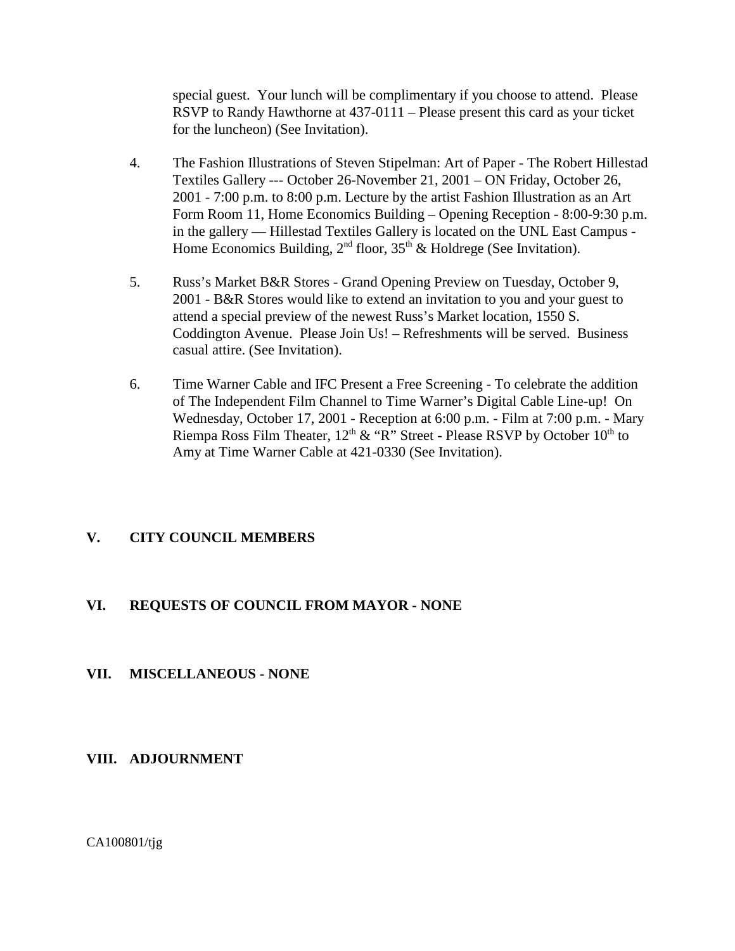special guest. Your lunch will be complimentary if you choose to attend. Please RSVP to Randy Hawthorne at 437-0111 – Please present this card as your ticket for the luncheon) (See Invitation).

- 4. The Fashion Illustrations of Steven Stipelman: Art of Paper The Robert Hillestad Textiles Gallery --- October 26-November 21, 2001 – ON Friday, October 26, 2001 - 7:00 p.m. to 8:00 p.m. Lecture by the artist Fashion Illustration as an Art Form Room 11, Home Economics Building – Opening Reception - 8:00-9:30 p.m. in the gallery — Hillestad Textiles Gallery is located on the UNL East Campus - Home Economics Building,  $2<sup>nd</sup>$  floor,  $35<sup>th</sup>$  & Holdrege (See Invitation).
- 5. Russ's Market B&R Stores Grand Opening Preview on Tuesday, October 9, 2001 - B&R Stores would like to extend an invitation to you and your guest to attend a special preview of the newest Russ's Market location, 1550 S. Coddington Avenue. Please Join Us! – Refreshments will be served. Business casual attire. (See Invitation).
- 6. Time Warner Cable and IFC Present a Free Screening To celebrate the addition of The Independent Film Channel to Time Warner's Digital Cable Line-up! On Wednesday, October 17, 2001 - Reception at 6:00 p.m. - Film at 7:00 p.m. - Mary Riempa Ross Film Theater,  $12<sup>th</sup>$  & "R" Street - Please RSVP by October  $10<sup>th</sup>$  to Amy at Time Warner Cable at 421-0330 (See Invitation).

# **V. CITY COUNCIL MEMBERS**

#### **VI. REQUESTS OF COUNCIL FROM MAYOR - NONE**

#### **VII. MISCELLANEOUS - NONE**

#### **VIII. ADJOURNMENT**

CA100801/tjg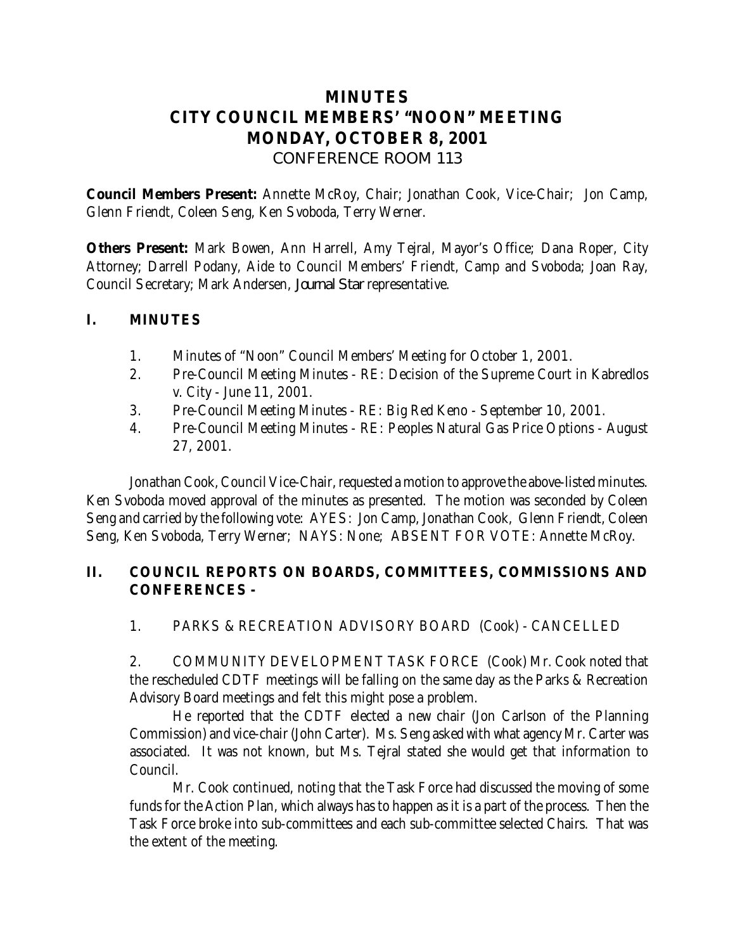# **MINUTES CITY COUNCIL MEMBERS' "NOON" MEETING MONDAY, OCTOBER 8, 2001** *CONFERENCE ROOM 113*

**Council Members Present:** Annette McRoy, Chair; Jonathan Cook, Vice-Chair; Jon Camp, Glenn Friendt, Coleen Seng, Ken Svoboda, Terry Werner.

**Others Present:** Mark Bowen, Ann Harrell, Amy Tejral, Mayor's Office; Dana Roper, City Attorney; Darrell Podany, Aide to Council Members' Friendt, Camp and Svoboda; Joan Ray, Council Secretary; Mark Andersen, *Journal Star* representative.

#### **I. MINUTES**

- 1. Minutes of "Noon" Council Members' Meeting for October 1, 2001.
- 2. Pre-Council Meeting Minutes RE: Decision of the Supreme Court in Kabredlos v. City - June 11, 2001.
- 3. Pre-Council Meeting Minutes RE: Big Red Keno September 10, 2001.
- 4. Pre-Council Meeting Minutes RE: Peoples Natural Gas Price Options August 27, 2001.

Jonathan Cook, Council Vice-Chair, requested a motion to approve the above-listed minutes. Ken Svoboda moved approval of the minutes as presented. The motion was seconded by Coleen Seng and carried by the following vote: AYES: Jon Camp, Jonathan Cook, Glenn Friendt, Coleen Seng, Ken Svoboda, Terry Werner; NAYS: None; ABSENT FOR VOTE: Annette McRoy.

### **II. COUNCIL REPORTS ON BOARDS, COMMITTEES, COMMISSIONS AND CONFERENCES -**

1. PARKS & RECREATION ADVISORY BOARD (Cook) - CANCELLED

2. COMMUNITY DEVELOPMENT TASK FORCE (Cook) Mr. Cook noted that the rescheduled CDTF meetings will be falling on the same day as the Parks & Recreation Advisory Board meetings and felt this might pose a problem.

He reported that the CDTF elected a new chair (Jon Carlson of the Planning Commission) and vice-chair (John Carter). Ms. Seng asked with what agency Mr. Carter was associated. It was not known, but Ms. Tejral stated she would get that information to Council.

Mr. Cook continued, noting that the Task Force had discussed the moving of some funds for the Action Plan, which always has to happen as it is a part of the process. Then the Task Force broke into sub-committees and each sub-committee selected Chairs. That was the extent of the meeting.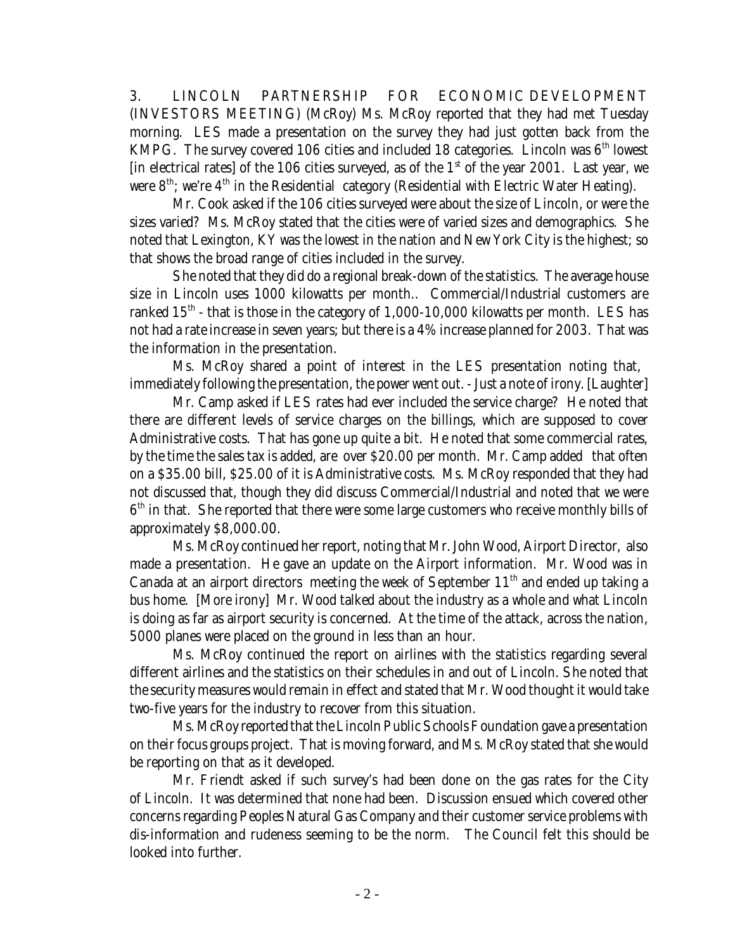3. LINCOLN PARTNERSHIP FOR ECONOMIC DEVELOPMENT (INVESTORS MEETING) (McRoy) Ms. McRoy reported that they had met Tuesday morning. LES made a presentation on the survey they had just gotten back from the KMPG. The survey covered 106 cities and included 18 categories. Lincoln was  $6<sup>th</sup>$  lowest [in electrical rates] of the 106 cities surveyed, as of the  $1<sup>st</sup>$  of the year 2001. Last year, we were  $8<sup>th</sup>$ ; we're  $4<sup>th</sup>$  in the Residential category (Residential with Electric Water Heating).

Mr. Cook asked if the 106 cities surveyed were about the size of Lincoln, or were the sizes varied? Ms. McRoy stated that the cities were of varied sizes and demographics. She noted that Lexington, KY was the lowest in the nation and New York City is the highest; so that shows the broad range of cities included in the survey.

She noted that they did do a regional break-down of the statistics. The average house size in Lincoln uses 1000 kilowatts per month.. Commercial/Industrial customers are ranked  $15<sup>th</sup>$  - that is those in the category of 1,000-10,000 kilowatts per month. LES has not had a rate increase in seven years; but there is a 4% increase planned for 2003. That was the information in the presentation.

Ms. McRoy shared a point of interest in the LES presentation noting that, immediately following the presentation, the power went out. - Just a note of irony. [Laughter]

Mr. Camp asked if LES rates had ever included the service charge? He noted that there are different levels of service charges on the billings, which are supposed to cover Administrative costs. That has gone up quite a bit. He noted that some commercial rates, by the time the sales tax is added, are over \$20.00 per month. Mr. Camp added that often on a \$35.00 bill, \$25.00 of it is Administrative costs. Ms. McRoy responded that they had not discussed that, though they did discuss Commercial/Industrial and noted that we were  $6<sup>th</sup>$  in that. She reported that there were some large customers who receive monthly bills of approximately \$8,000.00.

Ms. McRoy continued her report, noting that Mr. John Wood, Airport Director, also made a presentation. He gave an update on the Airport information. Mr. Wood was in Canada at an airport directors meeting the week of September  $11<sup>th</sup>$  and ended up taking a bus home. [More irony] Mr. Wood talked about the industry as a whole and what Lincoln is doing as far as airport security is concerned. At the time of the attack, across the nation, 5000 planes were placed on the ground in less than an hour.

Ms. McRoy continued the report on airlines with the statistics regarding several different airlines and the statistics on their schedules in and out of Lincoln. She noted that the security measures would remain in effect and stated that Mr. Wood thought it would take two-five years for the industry to recover from this situation.

Ms. McRoy reported that the Lincoln Public Schools Foundation gave a presentation on their focus groups project. That is moving forward, and Ms. McRoy stated that she would be reporting on that as it developed.

Mr. Friendt asked if such survey's had been done on the gas rates for the City of Lincoln. It was determined that none had been. Discussion ensued which covered other concerns regarding Peoples Natural Gas Company and their customer service problems with dis-information and rudeness seeming to be the norm. The Council felt this should be looked into further.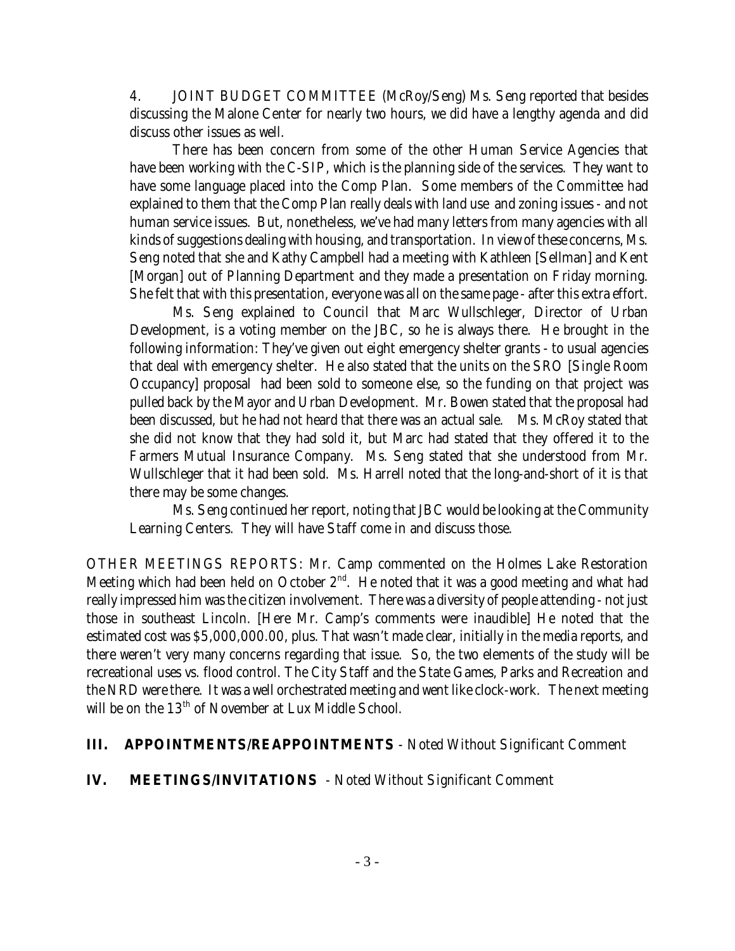4. JOINT BUDGET COMMITTEE (McRoy/Seng) Ms. Seng reported that besides discussing the Malone Center for nearly two hours, we did have a lengthy agenda and did discuss other issues as well.

There has been concern from some of the other Human Service Agencies that have been working with the C-SIP, which is the planning side of the services. They want to have some language placed into the Comp Plan. Some members of the Committee had explained to them that the Comp Plan really deals with land use and zoning issues - and not human service issues. But, nonetheless, we've had many letters from many agencies with all kinds of suggestions dealing with housing, and transportation. In view of these concerns, Ms. Seng noted that she and Kathy Campbell had a meeting with Kathleen [Sellman] and Kent [Morgan] out of Planning Department and they made a presentation on Friday morning. She felt that with this presentation, everyone was all on the same page - after this extra effort.

Ms. Seng explained to Council that Marc Wullschleger, Director of Urban Development, is a voting member on the JBC, so he is always there. He brought in the following information: They've given out eight emergency shelter grants - to usual agencies that deal with emergency shelter. He also stated that the units on the SRO [Single Room Occupancy] proposal had been sold to someone else, so the funding on that project was pulled back by the Mayor and Urban Development. Mr. Bowen stated that the proposal had been discussed, but he had not heard that there was an actual sale. Ms. McRoy stated that she did not know that they had sold it, but Marc had stated that they offered it to the Farmers Mutual Insurance Company. Ms. Seng stated that she understood from Mr. Wullschleger that it had been sold. Ms. Harrell noted that the long-and-short of it is that there may be some changes.

Ms. Seng continued her report, noting that JBC would be looking at the Community Learning Centers. They will have Staff come in and discuss those.

OTHER MEETINGS REPORTS: Mr. Camp commented on the Holmes Lake Restoration Meeting which had been held on October  $2<sup>nd</sup>$ . He noted that it was a good meeting and what had really impressed him was the citizen involvement. There was a diversity of people attending - not just those in southeast Lincoln. [Here Mr. Camp's comments were inaudible] He noted that the estimated cost was \$5,000,000.00, plus. That wasn't made clear, initially in the media reports, and there weren't very many concerns regarding that issue. So, the two elements of the study will be recreational uses vs. flood control. The City Staff and the State Games, Parks and Recreation and the NRD were there. It was a well orchestrated meeting and went like clock-work. The next meeting will be on the 13<sup>th</sup> of November at Lux Middle School.

#### **III. APPOINTMENTS/REAPPOINTMENTS** - Noted Without Significant Comment

**IV. MEETINGS/INVITATIONS** - Noted Without Significant Comment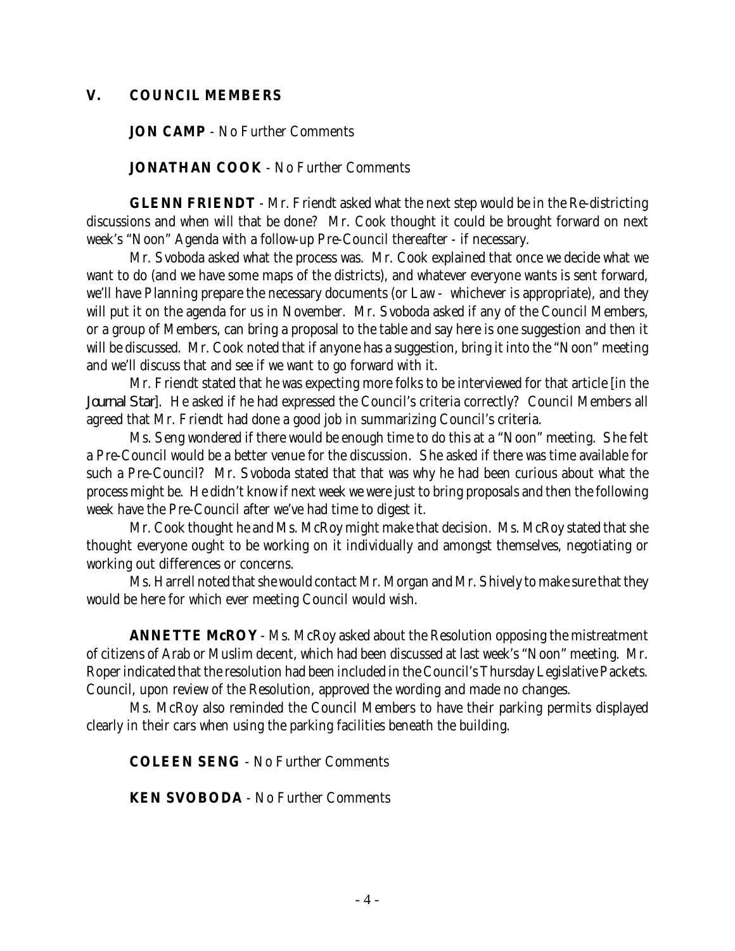#### **V. COUNCIL MEMBERS**

**JON CAMP** - No Further Comments

**JONATHAN COOK** - No Further Comments

**GLENN FRIENDT** - Mr. Friendt asked what the next step would be in the Re-districting discussions and when will that be done? Mr. Cook thought it could be brought forward on next week's "Noon" Agenda with a follow-up Pre-Council thereafter - if necessary.

Mr. Svoboda asked what the process was. Mr. Cook explained that once we decide what we want to do (and we have some maps of the districts), and whatever everyone wants is sent forward, we'll have Planning prepare the necessary documents (or Law - whichever is appropriate), and they will put it on the agenda for us in November. Mr. Svoboda asked if any of the Council Members, or a group of Members, can bring a proposal to the table and say here is one suggestion and then it will be discussed. Mr. Cook noted that if anyone has a suggestion, bring it into the "Noon" meeting and we'll discuss that and see if we want to go forward with it.

Mr. Friendt stated that he was expecting more folks to be interviewed for that article [in the *Journal Star*]. He asked if he had expressed the Council's criteria correctly? Council Members all agreed that Mr. Friendt had done a good job in summarizing Council's criteria.

Ms. Seng wondered if there would be enough time to do this at a "Noon" meeting. She felt a Pre-Council would be a better venue for the discussion. She asked if there was time available for such a Pre-Council? Mr. Svoboda stated that that was why he had been curious about what the process might be. He didn't know if next week we were just to bring proposals and then the following week have the Pre-Council after we've had time to digest it.

Mr. Cook thought he and Ms. McRoy might make that decision. Ms. McRoy stated that she thought everyone ought to be working on it individually and amongst themselves, negotiating or working out differences or concerns.

Ms. Harrell noted that she would contact Mr. Morgan and Mr. Shively to make sure that they would be here for which ever meeting Council would wish.

**ANNETTE McROY** - Ms. McRoy asked about the Resolution opposing the mistreatment of citizens of Arab or Muslim decent, which had been discussed at last week's "Noon" meeting. Mr. Roper indicated that the resolution had been included in the Council's Thursday Legislative Packets. Council, upon review of the Resolution, approved the wording and made no changes.

Ms. McRoy also reminded the Council Members to have their parking permits displayed clearly in their cars when using the parking facilities beneath the building.

**COLEEN SENG** - No Further Comments

**KEN SVOBODA** - No Further Comments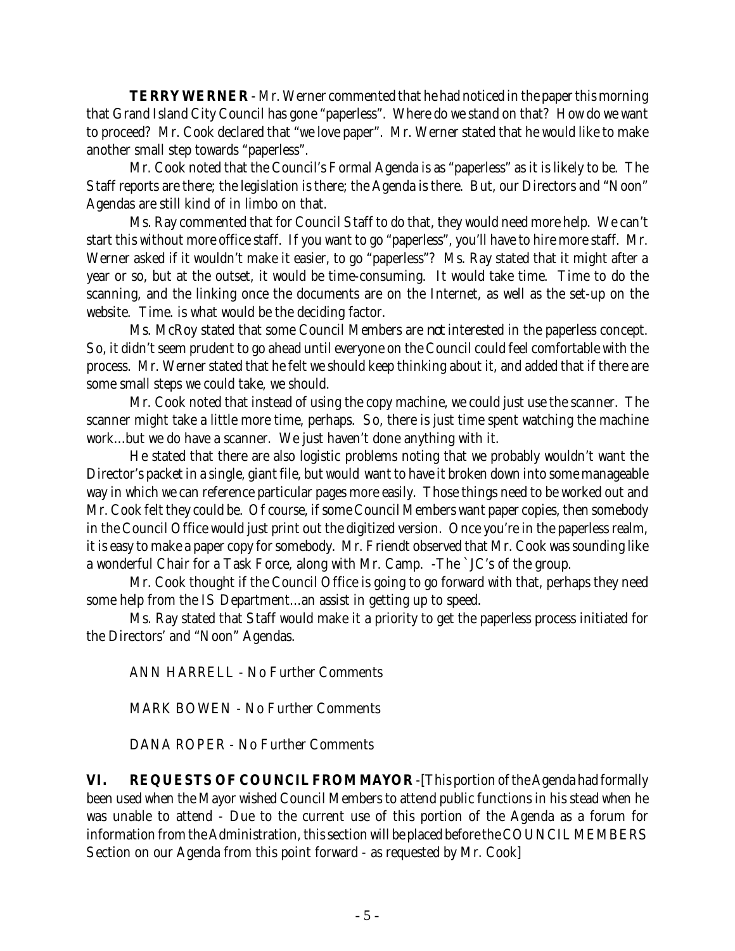**TERRY WERNER** - Mr. Werner commented that he had noticed in the paper this morning that Grand Island City Council has gone "paperless". Where do we stand on that? How do we want to proceed? Mr. Cook declared that "we love paper". Mr. Werner stated that he would like to make another small step towards "paperless".

Mr. Cook noted that the Council's Formal Agenda is as "paperless" as it is likely to be. The Staff reports are there; the legislation is there; the Agenda is there. But, our Directors and "Noon" Agendas are still kind of in limbo on that.

Ms. Ray commented that for Council Staff to do that, they would need more help. We can't start this without more office staff. If you want to go "paperless", you'll have to hire more staff. Mr. Werner asked if it wouldn't make it easier, to go "paperless"? Ms. Ray stated that it might after a year or so, but at the outset, it would be time-consuming. It would take time. Time to do the scanning, and the linking once the documents are on the Internet, as well as the set-up on the website. Time. is what would be the deciding factor.

Ms. McRoy stated that some Council Members are *not* interested in the paperless concept. So, it didn't seem prudent to go ahead until everyone on the Council could feel comfortable with the process. Mr. Werner stated that he felt we should keep thinking about it, and added that if there are some small steps we could take, we should.

Mr. Cook noted that instead of using the copy machine, we could just use the scanner. The scanner might take a little more time, perhaps. So, there is just time spent watching the machine work...but we do have a scanner. We just haven't done anything with it.

He stated that there are also logistic problems noting that we probably wouldn't want the Director's packet in a single, giant file, but would want to have it broken down into some manageable way in which we can reference particular pages more easily. Those things need to be worked out and Mr. Cook felt they could be. Of course, if some Council Members want paper copies, then somebody in the Council Office would just print out the digitized version. Once you're in the paperless realm, it is easy to make a paper copy for somebody. Mr. Friendt observed that Mr. Cook was sounding like a wonderful Chair for a Task Force, along with Mr. Camp. -The `JC's of the group.

Mr. Cook thought if the Council Office is going to go forward with that, perhaps they need some help from the IS Department...an assist in getting up to speed.

Ms. Ray stated that Staff would make it a priority to get the paperless process initiated for the Directors' and "Noon" Agendas.

ANN HARRELL - No Further Comments

MARK BOWEN - No Further Comments

DANA ROPER - No Further Comments

**VI. REQUESTS OF COUNCIL FROM MAYOR** -[This portion of the Agenda had formally been used when the Mayor wished Council Members to attend public functions in his stead when he was unable to attend - Due to the current use of this portion of the Agenda as a forum for information from the Administration, this section will be placed before the COUNCIL MEMBERS Section on our Agenda from this point forward - as requested by Mr. Cook]